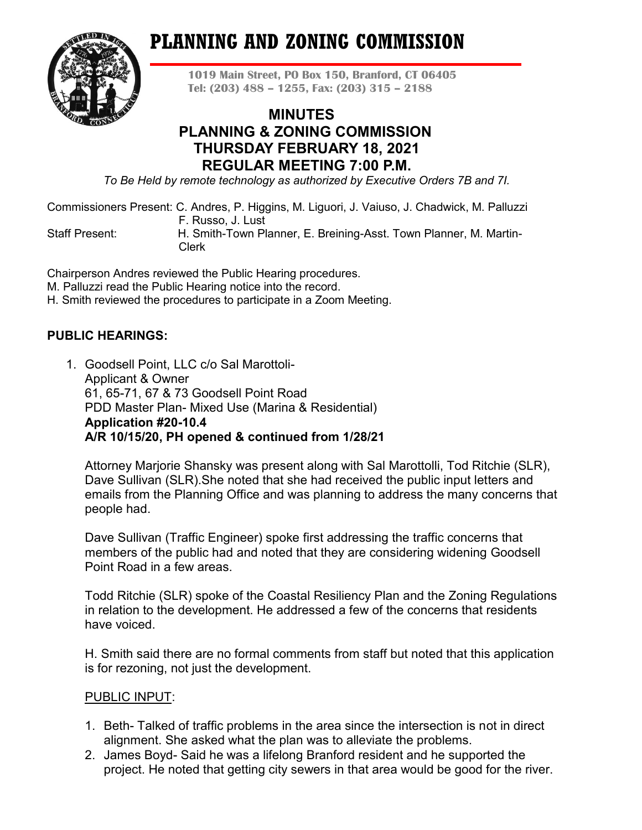# **PLANNING AND ZONING COMMISSION**



**1019 Main Street, PO Box 150, Branford, CT 06405 Tel: (203) 488 – 1255, Fax: (203) 315 – 2188**

# **MINUTES PLANNING & ZONING COMMISSION THURSDAY FEBRUARY 18, 2021 REGULAR MEETING 7:00 P.M.**

*To Be Held by remote technology as authorized by Executive Orders 7B and 7I.*

Commissioners Present: C. Andres, P. Higgins, M. Liguori, J. Vaiuso, J. Chadwick, M. Palluzzi F. Russo, J. Lust

Staff Present: H. Smith-Town Planner, E. Breining-Asst. Town Planner, M. Martin- Clerk

Chairperson Andres reviewed the Public Hearing procedures.

M. Palluzzi read the Public Hearing notice into the record.

H. Smith reviewed the procedures to participate in a Zoom Meeting.

# **PUBLIC HEARINGS:**

1. Goodsell Point, LLC c/o Sal Marottoli-Applicant & Owner 61, 65-71, 67 & 73 Goodsell Point Road PDD Master Plan- Mixed Use (Marina & Residential) **Application #20-10.4 A/R 10/15/20, PH opened & continued from 1/28/21**

Attorney Marjorie Shansky was present along with Sal Marottolli, Tod Ritchie (SLR), Dave Sullivan (SLR).She noted that she had received the public input letters and emails from the Planning Office and was planning to address the many concerns that people had.

Dave Sullivan (Traffic Engineer) spoke first addressing the traffic concerns that members of the public had and noted that they are considering widening Goodsell Point Road in a few areas.

Todd Ritchie (SLR) spoke of the Coastal Resiliency Plan and the Zoning Regulations in relation to the development. He addressed a few of the concerns that residents have voiced.

H. Smith said there are no formal comments from staff but noted that this application is for rezoning, not just the development.

# PUBLIC INPUT:

- 1. Beth- Talked of traffic problems in the area since the intersection is not in direct alignment. She asked what the plan was to alleviate the problems.
- 2. James Boyd- Said he was a lifelong Branford resident and he supported the project. He noted that getting city sewers in that area would be good for the river.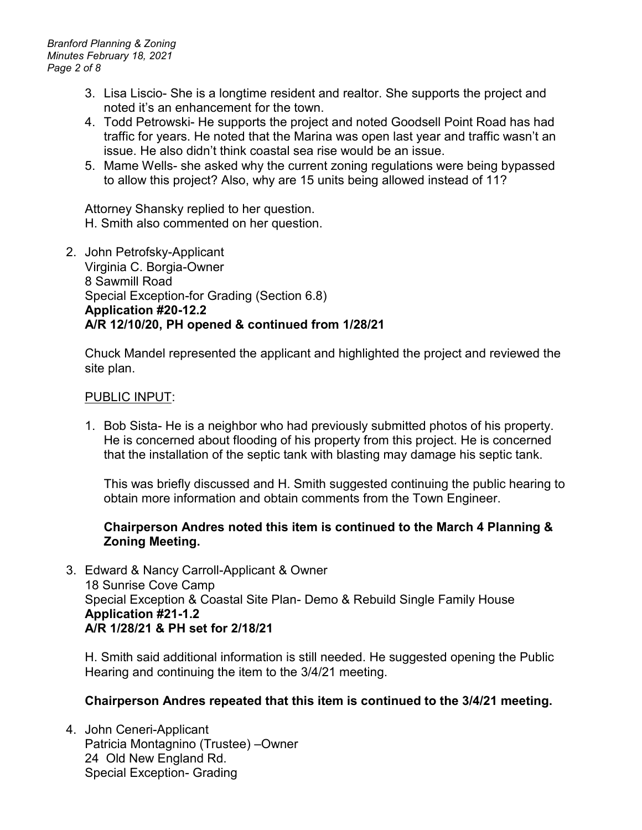*Branford Planning & Zoning Minutes February 18, 2021 Page 2 of 8*

- 3. Lisa Liscio- She is a longtime resident and realtor. She supports the project and noted it's an enhancement for the town.
- 4. Todd Petrowski- He supports the project and noted Goodsell Point Road has had traffic for years. He noted that the Marina was open last year and traffic wasn't an issue. He also didn't think coastal sea rise would be an issue.
- 5. Mame Wells- she asked why the current zoning regulations were being bypassed to allow this project? Also, why are 15 units being allowed instead of 11?

Attorney Shansky replied to her question. H. Smith also commented on her question.

2. John Petrofsky-Applicant Virginia C. Borgia-Owner 8 Sawmill Road Special Exception-for Grading (Section 6.8) **Application #20-12.2 A/R 12/10/20, PH opened & continued from 1/28/21**

Chuck Mandel represented the applicant and highlighted the project and reviewed the site plan.

## PUBLIC INPUT:

1. Bob Sista- He is a neighbor who had previously submitted photos of his property. He is concerned about flooding of his property from this project. He is concerned that the installation of the septic tank with blasting may damage his septic tank.

This was briefly discussed and H. Smith suggested continuing the public hearing to obtain more information and obtain comments from the Town Engineer.

## **Chairperson Andres noted this item is continued to the March 4 Planning & Zoning Meeting.**

3. Edward & Nancy Carroll-Applicant & Owner 18 Sunrise Cove Camp Special Exception & Coastal Site Plan- Demo & Rebuild Single Family House **Application #21-1.2 A/R 1/28/21 & PH set for 2/18/21**

H. Smith said additional information is still needed. He suggested opening the Public Hearing and continuing the item to the 3/4/21 meeting.

# **Chairperson Andres repeated that this item is continued to the 3/4/21 meeting.**

4. John Ceneri-Applicant Patricia Montagnino (Trustee) –Owner 24 Old New England Rd. Special Exception- Grading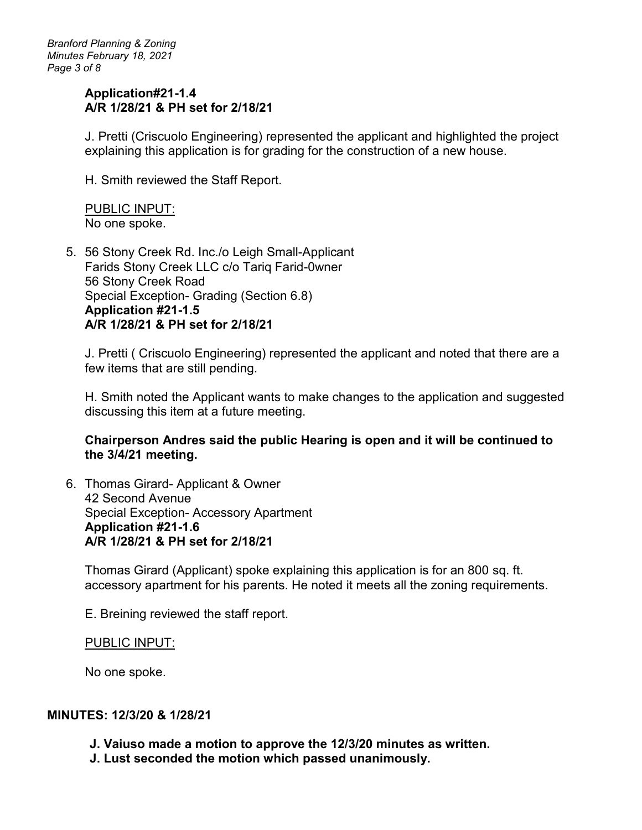*Branford Planning & Zoning Minutes February 18, 2021 Page 3 of 8*

## **Application#21-1.4 A/R 1/28/21 & PH set for 2/18/21**

J. Pretti (Criscuolo Engineering) represented the applicant and highlighted the project explaining this application is for grading for the construction of a new house.

H. Smith reviewed the Staff Report.

PUBLIC INPUT: No one spoke.

5. 56 Stony Creek Rd. Inc./o Leigh Small-Applicant Farids Stony Creek LLC c/o Tariq Farid-0wner 56 Stony Creek Road Special Exception- Grading (Section 6.8) **Application #21-1.5 A/R 1/28/21 & PH set for 2/18/21**

J. Pretti ( Criscuolo Engineering) represented the applicant and noted that there are a few items that are still pending.

H. Smith noted the Applicant wants to make changes to the application and suggested discussing this item at a future meeting.

## **Chairperson Andres said the public Hearing is open and it will be continued to the 3/4/21 meeting.**

6. Thomas Girard- Applicant & Owner 42 Second Avenue Special Exception- Accessory Apartment **Application #21-1.6 A/R 1/28/21 & PH set for 2/18/21**

Thomas Girard (Applicant) spoke explaining this application is for an 800 sq. ft. accessory apartment for his parents. He noted it meets all the zoning requirements.

E. Breining reviewed the staff report.

#### PUBLIC INPUT:

No one spoke.

## **MINUTES: 12/3/20 & 1/28/21**

- **J. Vaiuso made a motion to approve the 12/3/20 minutes as written.**
- **J. Lust seconded the motion which passed unanimously.**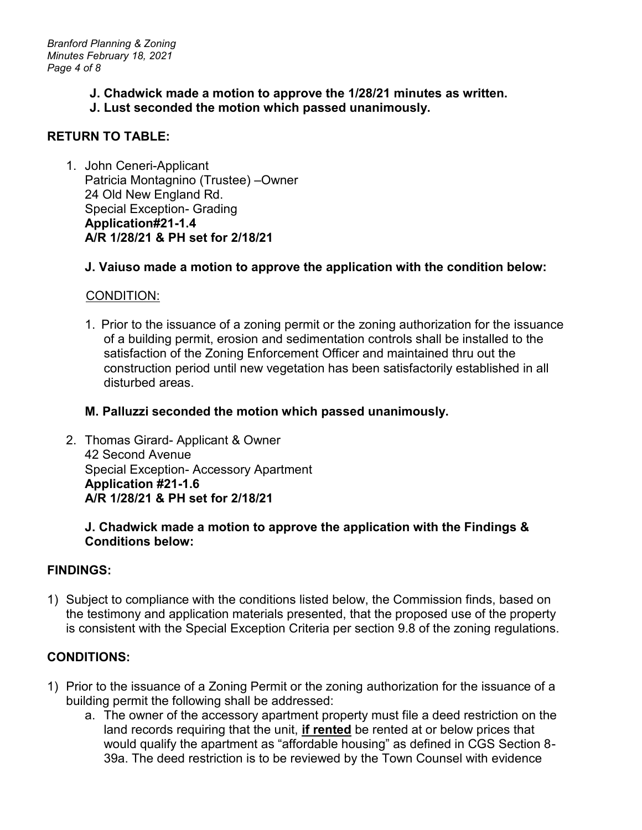- **J. Chadwick made a motion to approve the 1/28/21 minutes as written.**
- **J. Lust seconded the motion which passed unanimously.**

# **RETURN TO TABLE:**

1. John Ceneri-Applicant Patricia Montagnino (Trustee) –Owner 24 Old New England Rd. Special Exception- Grading **Application#21-1.4 A/R 1/28/21 & PH set for 2/18/21**

# **J. Vaiuso made a motion to approve the application with the condition below:**

# CONDITION:

1. Prior to the issuance of a zoning permit or the zoning authorization for the issuance of a building permit, erosion and sedimentation controls shall be installed to the satisfaction of the Zoning Enforcement Officer and maintained thru out the construction period until new vegetation has been satisfactorily established in all disturbed areas.

# **M. Palluzzi seconded the motion which passed unanimously.**

2. Thomas Girard- Applicant & Owner 42 Second Avenue Special Exception- Accessory Apartment **Application #21-1.6 A/R 1/28/21 & PH set for 2/18/21**

# **J. Chadwick made a motion to approve the application with the Findings & Conditions below:**

# **FINDINGS:**

1) Subject to compliance with the conditions listed below, the Commission finds, based on the testimony and application materials presented, that the proposed use of the property is consistent with the Special Exception Criteria per section 9.8 of the zoning regulations.

# **CONDITIONS:**

- 1) Prior to the issuance of a Zoning Permit or the zoning authorization for the issuance of a building permit the following shall be addressed:
	- a. The owner of the accessory apartment property must file a deed restriction on the land records requiring that the unit, **if rented** be rented at or below prices that would qualify the apartment as "affordable housing" as defined in CGS Section 8- 39a. The deed restriction is to be reviewed by the Town Counsel with evidence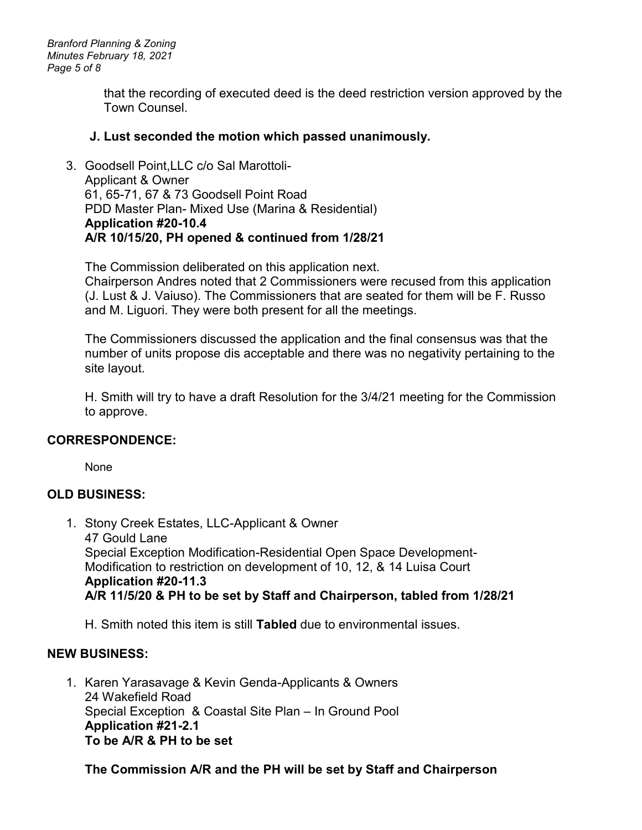*Branford Planning & Zoning Minutes February 18, 2021 Page 5 of 8*

> that the recording of executed deed is the deed restriction version approved by the Town Counsel.

## **J. Lust seconded the motion which passed unanimously.**

3. Goodsell Point,LLC c/o Sal Marottoli-Applicant & Owner 61, 65-71, 67 & 73 Goodsell Point Road PDD Master Plan- Mixed Use (Marina & Residential) **Application #20-10.4 A/R 10/15/20, PH opened & continued from 1/28/21** 

The Commission deliberated on this application next. Chairperson Andres noted that 2 Commissioners were recused from this application (J. Lust & J. Vaiuso). The Commissioners that are seated for them will be F. Russo and M. Liguori. They were both present for all the meetings.

The Commissioners discussed the application and the final consensus was that the number of units propose dis acceptable and there was no negativity pertaining to the site layout.

H. Smith will try to have a draft Resolution for the 3/4/21 meeting for the Commission to approve.

## **CORRESPONDENCE:**

None

# **OLD BUSINESS:**

1. Stony Creek Estates, LLC-Applicant & Owner 47 Gould Lane Special Exception Modification-Residential Open Space Development-Modification to restriction on development of 10, 12, & 14 Luisa Court **Application #20-11.3 A/R 11/5/20 & PH to be set by Staff and Chairperson, tabled from 1/28/21**

H. Smith noted this item is still **Tabled** due to environmental issues.

# **NEW BUSINESS:**

1. Karen Yarasavage & Kevin Genda-Applicants & Owners 24 Wakefield Road Special Exception & Coastal Site Plan – In Ground Pool **Application #21-2.1 To be A/R & PH to be set** 

# **The Commission A/R and the PH will be set by Staff and Chairperson**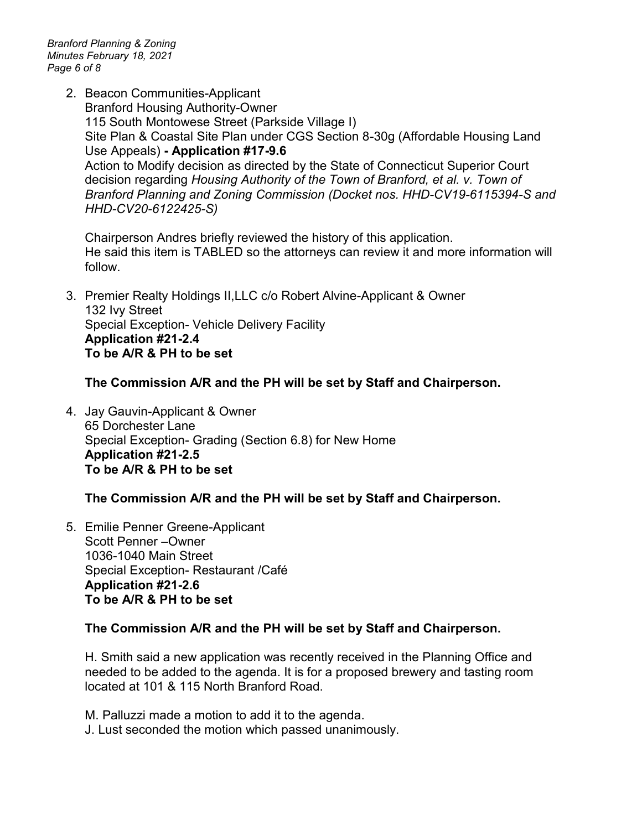*Branford Planning & Zoning Minutes February 18, 2021 Page 6 of 8*

> 2. Beacon Communities-Applicant Branford Housing Authority-Owner 115 South Montowese Street (Parkside Village I) Site Plan & Coastal Site Plan under CGS Section 8-30g (Affordable Housing Land Use Appeals) **- Application #17-9.6** Action to Modify decision as directed by the State of Connecticut Superior Court decision regarding *Housing Authority of the Town of Branford, et al. v. Town of Branford Planning and Zoning Commission (Docket nos. HHD-CV19-6115394-S and HHD-CV20-6122425-S)*

Chairperson Andres briefly reviewed the history of this application. He said this item is TABLED so the attorneys can review it and more information will follow.

3. Premier Realty Holdings II,LLC c/o Robert Alvine-Applicant & Owner 132 Ivy Street Special Exception- Vehicle Delivery Facility **Application #21-2.4 To be A/R & PH to be set**

## **The Commission A/R and the PH will be set by Staff and Chairperson.**

4. Jay Gauvin-Applicant & Owner 65 Dorchester Lane Special Exception- Grading (Section 6.8) for New Home **Application #21-2.5 To be A/R & PH to be set**

## **The Commission A/R and the PH will be set by Staff and Chairperson.**

5. Emilie Penner Greene-Applicant Scott Penner –Owner 1036-1040 Main Street Special Exception- Restaurant /Café **Application #21-2.6 To be A/R & PH to be set**

## **The Commission A/R and the PH will be set by Staff and Chairperson.**

H. Smith said a new application was recently received in the Planning Office and needed to be added to the agenda. It is for a proposed brewery and tasting room located at 101 & 115 North Branford Road.

M. Palluzzi made a motion to add it to the agenda.

J. Lust seconded the motion which passed unanimously.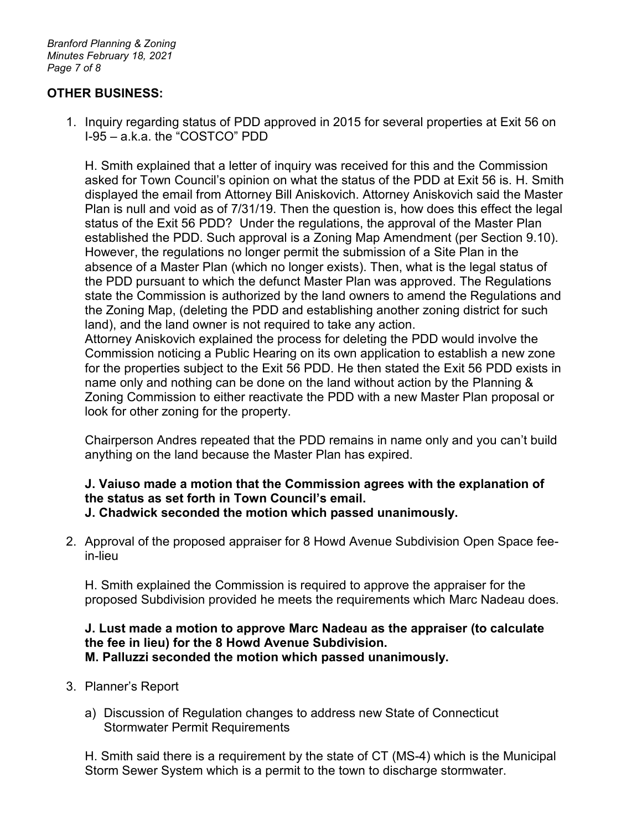*Branford Planning & Zoning Minutes February 18, 2021 Page 7 of 8*

## **OTHER BUSINESS:**

1. Inquiry regarding status of PDD approved in 2015 for several properties at Exit 56 on I-95 – a.k.a. the "COSTCO" PDD

H. Smith explained that a letter of inquiry was received for this and the Commission asked for Town Council's opinion on what the status of the PDD at Exit 56 is. H. Smith displayed the email from Attorney Bill Aniskovich. Attorney Aniskovich said the Master Plan is null and void as of 7/31/19. Then the question is, how does this effect the legal status of the Exit 56 PDD? Under the regulations, the approval of the Master Plan established the PDD. Such approval is a Zoning Map Amendment (per Section 9.10). However, the regulations no longer permit the submission of a Site Plan in the absence of a Master Plan (which no longer exists). Then, what is the legal status of the PDD pursuant to which the defunct Master Plan was approved. The Regulations state the Commission is authorized by the land owners to amend the Regulations and the Zoning Map, (deleting the PDD and establishing another zoning district for such land), and the land owner is not required to take any action.

Attorney Aniskovich explained the process for deleting the PDD would involve the Commission noticing a Public Hearing on its own application to establish a new zone for the properties subject to the Exit 56 PDD. He then stated the Exit 56 PDD exists in name only and nothing can be done on the land without action by the Planning & Zoning Commission to either reactivate the PDD with a new Master Plan proposal or look for other zoning for the property.

Chairperson Andres repeated that the PDD remains in name only and you can't build anything on the land because the Master Plan has expired.

#### **J. Vaiuso made a motion that the Commission agrees with the explanation of the status as set forth in Town Council's email. J. Chadwick seconded the motion which passed unanimously.**

2. Approval of the proposed appraiser for 8 Howd Avenue Subdivision Open Space feein-lieu

H. Smith explained the Commission is required to approve the appraiser for the proposed Subdivision provided he meets the requirements which Marc Nadeau does.

#### **J. Lust made a motion to approve Marc Nadeau as the appraiser (to calculate the fee in lieu) for the 8 Howd Avenue Subdivision. M. Palluzzi seconded the motion which passed unanimously.**

- 3. Planner's Report
	- a) Discussion of Regulation changes to address new State of Connecticut Stormwater Permit Requirements

H. Smith said there is a requirement by the state of CT (MS-4) which is the Municipal Storm Sewer System which is a permit to the town to discharge stormwater.